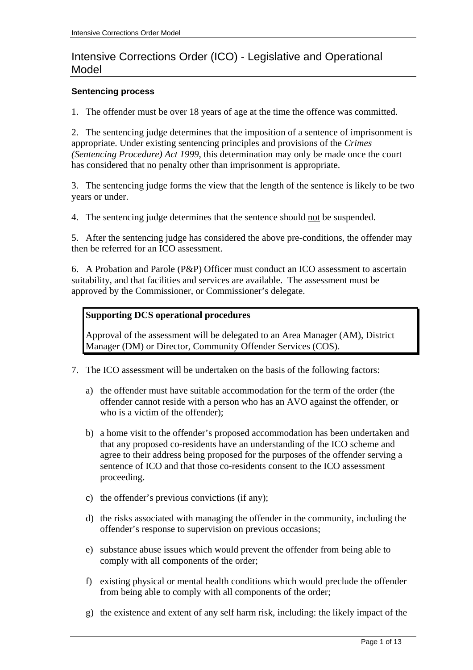# Intensive Corrections Order (ICO) - Legislative and Operational Model

#### **Sentencing process**

1. The offender must be over 18 years of age at the time the offence was committed.

2. The sentencing judge determines that the imposition of a sentence of imprisonment is appropriate. Under existing sentencing principles and provisions of the *Crimes (Sentencing Procedure) Act 1999*, this determination may only be made once the court has considered that no penalty other than imprisonment is appropriate.

3. The sentencing judge forms the view that the length of the sentence is likely to be two years or under.

4. The sentencing judge determines that the sentence should not be suspended.

5. After the sentencing judge has considered the above pre-conditions, the offender may then be referred for an ICO assessment.

6. A Probation and Parole (P&P) Officer must conduct an ICO assessment to ascertain suitability, and that facilities and services are available. The assessment must be approved by the Commissioner, or Commissioner's delegate.

#### **Supporting DCS operational procedures**

Approval of the assessment will be delegated to an Area Manager (AM), District Manager (DM) or Director, Community Offender Services (COS).

- 7. The ICO assessment will be undertaken on the basis of the following factors:
	- a) the offender must have suitable accommodation for the term of the order (the offender cannot reside with a person who has an AVO against the offender, or who is a victim of the offender);
	- b) a home visit to the offender's proposed accommodation has been undertaken and that any proposed co-residents have an understanding of the ICO scheme and agree to their address being proposed for the purposes of the offender serving a sentence of ICO and that those co-residents consent to the ICO assessment proceeding.
	- c) the offender's previous convictions (if any);
	- d) the risks associated with managing the offender in the community, including the offender's response to supervision on previous occasions;
	- e) substance abuse issues which would prevent the offender from being able to comply with all components of the order;
	- f) existing physical or mental health conditions which would preclude the offender from being able to comply with all components of the order;
	- g) the existence and extent of any self harm risk, including: the likely impact of the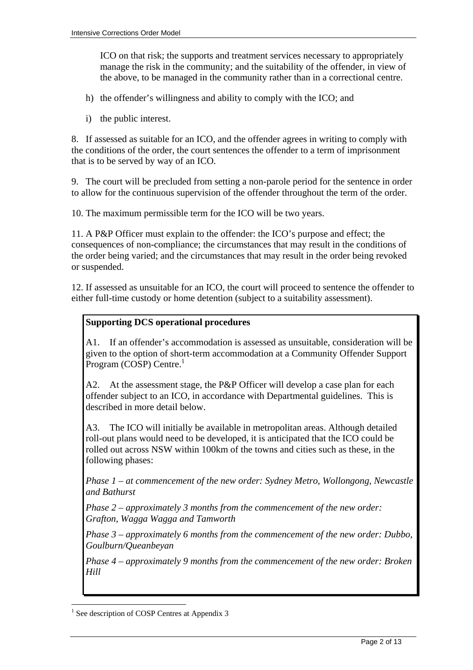ICO on that risk; the supports and treatment services necessary to appropriately manage the risk in the community; and the suitability of the offender, in view of the above, to be managed in the community rather than in a correctional centre.

- h) the offender's willingness and ability to comply with the ICO; and
- i) the public interest.

8. If assessed as suitable for an ICO, and the offender agrees in writing to comply with the conditions of the order, the court sentences the offender to a term of imprisonment that is to be served by way of an ICO.

9. The court will be precluded from setting a non-parole period for the sentence in order to allow for the continuous supervision of the offender throughout the term of the order.

10. The maximum permissible term for the ICO will be two years.

11. A P&P Officer must explain to the offender: the ICO's purpose and effect; the consequences of non-compliance; the circumstances that may result in the conditions of the order being varied; and the circumstances that may result in the order being revoked or suspended.

12. If assessed as unsuitable for an ICO, the court will proceed to sentence the offender to either full-time custody or home detention (subject to a suitability assessment).

## **Supporting DCS operational procedures**

A1. If an offender's accommodation is assessed as unsuitable, consideration will be given to the option of short-term accommodation at a Community Offender Support Program ( $COSP$ ) Centre.<sup>1</sup>

A2. At the assessment stage, the P&P Officer will develop a case plan for each offender subject to an ICO, in accordance with Departmental guidelines. This is described in more detail below.

A3. The ICO will initially be available in metropolitan areas. Although detailed roll-out plans would need to be developed, it is anticipated that the ICO could be rolled out across NSW within 100km of the towns and cities such as these, in the following phases:

*Phase 1 – at commencement of the new order: Sydney Metro, Wollongong, Newcastle and Bathurst* 

*Phase 2 – approximately 3 months from the commencement of the new order: Grafton, Wagga Wagga and Tamworth* 

*Phase 3 – approximately 6 months from the commencement of the new order: Dubbo, Goulburn/Queanbeyan* 

*Phase 4 – approximately 9 months from the commencement of the new order: Broken Hill* 

<sup>&</sup>lt;sup>1</sup> See description of COSP Centres at Appendix 3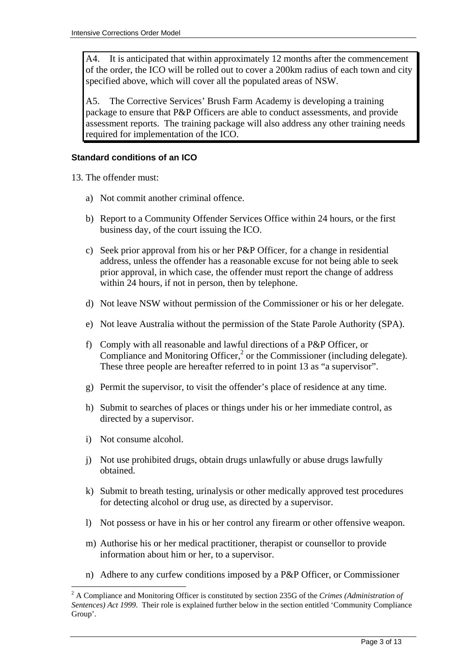A4. It is anticipated that within approximately 12 months after the commencement of the order, the ICO will be rolled out to cover a 200km radius of each town and city specified above, which will cover all the populated areas of NSW.

A5. The Corrective Services' Brush Farm Academy is developing a training package to ensure that P&P Officers are able to conduct assessments, and provide assessment reports. The training package will also address any other training needs required for implementation of the ICO.

#### **Standard conditions of an ICO**

13. The offender must:

- a) Not commit another criminal offence.
- b) Report to a Community Offender Services Office within 24 hours, or the first business day, of the court issuing the ICO.
- c) Seek prior approval from his or her P&P Officer, for a change in residential address, unless the offender has a reasonable excuse for not being able to seek prior approval, in which case, the offender must report the change of address within 24 hours, if not in person, then by telephone.
- d) Not leave NSW without permission of the Commissioner or his or her delegate.
- e) Not leave Australia without the permission of the State Parole Authority (SPA).
- f) Comply with all reasonable and lawful directions of a P&P Officer, or Compliance and Monitoring Officer, $<sup>2</sup>$  or the Commissioner (including delegate).</sup> These three people are hereafter referred to in point 13 as "a supervisor".
- g) Permit the supervisor, to visit the offender's place of residence at any time.
- h) Submit to searches of places or things under his or her immediate control, as directed by a supervisor.
- i) Not consume alcohol.

- j) Not use prohibited drugs, obtain drugs unlawfully or abuse drugs lawfully obtained.
- k) Submit to breath testing, urinalysis or other medically approved test procedures for detecting alcohol or drug use, as directed by a supervisor.
- l) Not possess or have in his or her control any firearm or other offensive weapon.
- m) Authorise his or her medical practitioner, therapist or counsellor to provide information about him or her, to a supervisor.
- n) Adhere to any curfew conditions imposed by a P&P Officer, or Commissioner

<sup>2</sup> A Compliance and Monitoring Officer is constituted by section 235G of the *Crimes (Administration of Sentences) Act 1999*. Their role is explained further below in the section entitled 'Community Compliance Group'.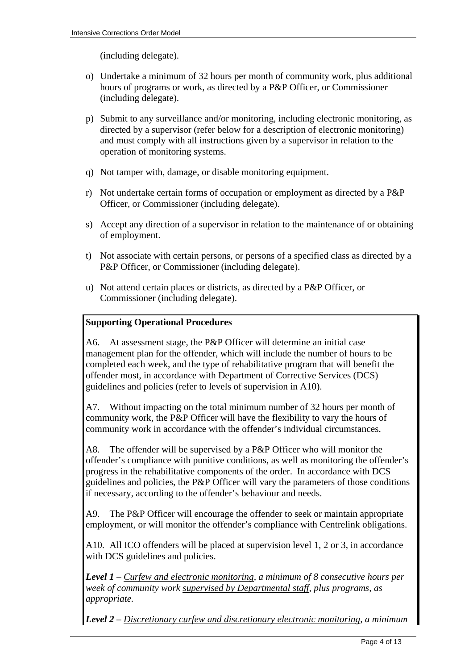(including delegate).

- o) Undertake a minimum of 32 hours per month of community work, plus additional hours of programs or work, as directed by a P&P Officer, or Commissioner (including delegate).
- p) Submit to any surveillance and/or monitoring, including electronic monitoring, as directed by a supervisor (refer below for a description of electronic monitoring) and must comply with all instructions given by a supervisor in relation to the operation of monitoring systems.
- q) Not tamper with, damage, or disable monitoring equipment.
- r) Not undertake certain forms of occupation or employment as directed by a P&P Officer, or Commissioner (including delegate).
- s) Accept any direction of a supervisor in relation to the maintenance of or obtaining of employment.
- t) Not associate with certain persons, or persons of a specified class as directed by a P&P Officer, or Commissioner (including delegate).
- u) Not attend certain places or districts, as directed by a P&P Officer, or Commissioner (including delegate).

## **Supporting Operational Procedures**

A6. At assessment stage, the P&P Officer will determine an initial case management plan for the offender, which will include the number of hours to be completed each week, and the type of rehabilitative program that will benefit the offender most, in accordance with Department of Corrective Services (DCS) guidelines and policies (refer to levels of supervision in A10).

A7. Without impacting on the total minimum number of 32 hours per month of community work, the P&P Officer will have the flexibility to vary the hours of community work in accordance with the offender's individual circumstances.

A8. The offender will be supervised by a P&P Officer who will monitor the offender's compliance with punitive conditions, as well as monitoring the offender's progress in the rehabilitative components of the order. In accordance with DCS guidelines and policies, the P&P Officer will vary the parameters of those conditions if necessary, according to the offender's behaviour and needs.

A9. The P&P Officer will encourage the offender to seek or maintain appropriate employment, or will monitor the offender's compliance with Centrelink obligations.

A10. All ICO offenders will be placed at supervision level 1, 2 or 3, in accordance with DCS guidelines and policies.

*Level 1 – Curfew and electronic monitoring, a minimum of 8 consecutive hours per week of community work supervised by Departmental staff, plus programs, as appropriate.* 

*Level 2 – Discretionary curfew and discretionary electronic monitoring, a minimum*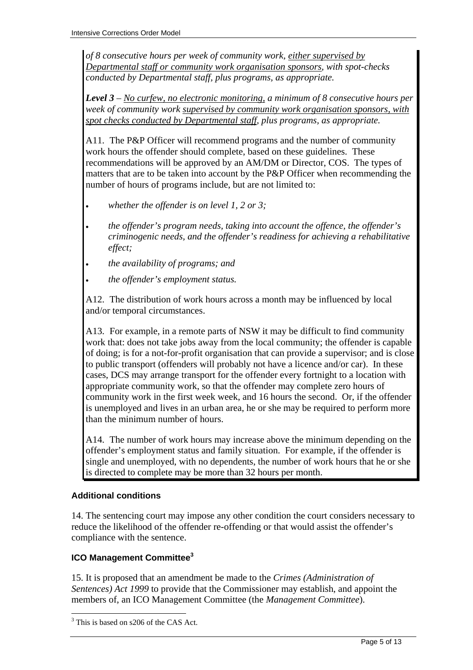*of 8 consecutive hours per week of community work, either supervised by Departmental staff or community work organisation sponsors, with spot-checks conducted by Departmental staff, plus programs, as appropriate.* 

*Level 3 – No curfew, no electronic monitoring, a minimum of 8 consecutive hours per week of community work supervised by community work organisation sponsors, with spot checks conducted by Departmental staff, plus programs, as appropriate.* 

A11. The P&P Officer will recommend programs and the number of community work hours the offender should complete, based on these guidelines. These recommendations will be approved by an AM/DM or Director, COS. The types of matters that are to be taken into account by the P&P Officer when recommending the number of hours of programs include, but are not limited to:

- *whether the offender is on level 1, 2 or 3;*
- *the offender's program needs, taking into account the offence, the offender's criminogenic needs, and the offender's readiness for achieving a rehabilitative effect;*
- *the availability of programs; and*
- *the offender's employment status.*

A12. The distribution of work hours across a month may be influenced by local and/or temporal circumstances.

A13. For example, in a remote parts of NSW it may be difficult to find community work that: does not take jobs away from the local community; the offender is capable of doing; is for a not-for-profit organisation that can provide a supervisor; and is close to public transport (offenders will probably not have a licence and/or car). In these cases, DCS may arrange transport for the offender every fortnight to a location with appropriate community work, so that the offender may complete zero hours of community work in the first week week, and 16 hours the second. Or, if the offender is unemployed and lives in an urban area, he or she may be required to perform more than the minimum number of hours.

A14. The number of work hours may increase above the minimum depending on the offender's employment status and family situation. For example, if the offender is single and unemployed, with no dependents, the number of work hours that he or she is directed to complete may be more than 32 hours per month.

## **Additional conditions**

14. The sentencing court may impose any other condition the court considers necessary to reduce the likelihood of the offender re-offending or that would assist the offender's compliance with the sentence.

## **ICO Management Committee<sup>3</sup>**

15. It is proposed that an amendment be made to the *Crimes (Administration of Sentences) Act 1999* to provide that the Commissioner may establish, and appoint the members of, an ICO Management Committee (the *Management Committee*).

<sup>&</sup>lt;sup>3</sup> This is based on s206 of the CAS Act.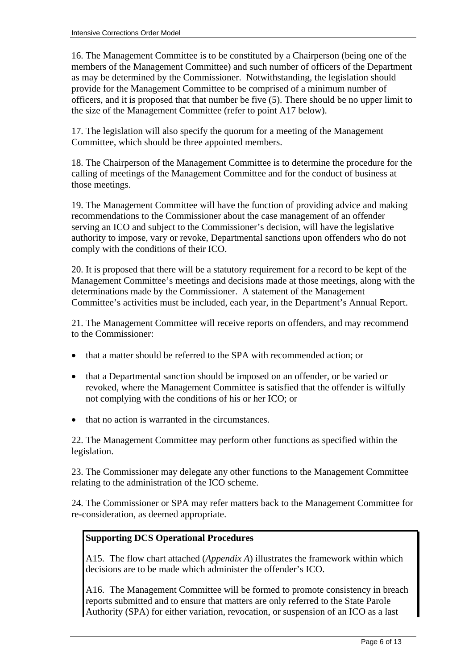16. The Management Committee is to be constituted by a Chairperson (being one of the members of the Management Committee) and such number of officers of the Department as may be determined by the Commissioner. Notwithstanding, the legislation should provide for the Management Committee to be comprised of a minimum number of officers, and it is proposed that that number be five (5). There should be no upper limit to the size of the Management Committee (refer to point A17 below).

17. The legislation will also specify the quorum for a meeting of the Management Committee, which should be three appointed members.

18. The Chairperson of the Management Committee is to determine the procedure for the calling of meetings of the Management Committee and for the conduct of business at those meetings.

19. The Management Committee will have the function of providing advice and making recommendations to the Commissioner about the case management of an offender serving an ICO and subject to the Commissioner's decision, will have the legislative authority to impose, vary or revoke, Departmental sanctions upon offenders who do not comply with the conditions of their ICO.

20. It is proposed that there will be a statutory requirement for a record to be kept of the Management Committee's meetings and decisions made at those meetings, along with the determinations made by the Commissioner. A statement of the Management Committee's activities must be included, each year, in the Department's Annual Report.

21. The Management Committee will receive reports on offenders, and may recommend to the Commissioner:

- that a matter should be referred to the SPA with recommended action; or
- that a Departmental sanction should be imposed on an offender, or be varied or revoked, where the Management Committee is satisfied that the offender is wilfully not complying with the conditions of his or her ICO; or
- that no action is warranted in the circumstances.

22. The Management Committee may perform other functions as specified within the legislation.

23. The Commissioner may delegate any other functions to the Management Committee relating to the administration of the ICO scheme.

24. The Commissioner or SPA may refer matters back to the Management Committee for re-consideration, as deemed appropriate.

## **Supporting DCS Operational Procedures**

A15. The flow chart attached (*Appendix A*) illustrates the framework within which decisions are to be made which administer the offender's ICO.

A16. The Management Committee will be formed to promote consistency in breach reports submitted and to ensure that matters are only referred to the State Parole Authority (SPA) for either variation, revocation, or suspension of an ICO as a last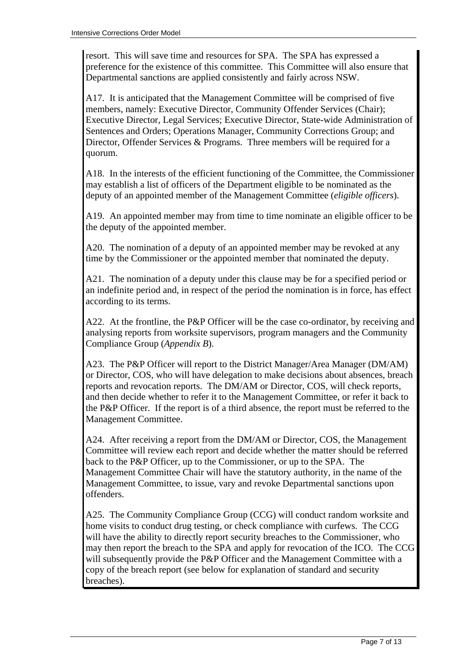resort. This will save time and resources for SPA. The SPA has expressed a preference for the existence of this committee. This Committee will also ensure that Departmental sanctions are applied consistently and fairly across NSW.

A17. It is anticipated that the Management Committee will be comprised of five members, namely: Executive Director, Community Offender Services (Chair); Executive Director, Legal Services; Executive Director, State-wide Administration of Sentences and Orders; Operations Manager, Community Corrections Group; and Director, Offender Services & Programs. Three members will be required for a quorum.

A18. In the interests of the efficient functioning of the Committee, the Commissioner may establish a list of officers of the Department eligible to be nominated as the deputy of an appointed member of the Management Committee (*eligible officers*).

A19. An appointed member may from time to time nominate an eligible officer to be the deputy of the appointed member.

A20. The nomination of a deputy of an appointed member may be revoked at any time by the Commissioner or the appointed member that nominated the deputy.

A21. The nomination of a deputy under this clause may be for a specified period or an indefinite period and, in respect of the period the nomination is in force, has effect according to its terms.

A22. At the frontline, the P&P Officer will be the case co-ordinator, by receiving and analysing reports from worksite supervisors, program managers and the Community Compliance Group (*Appendix B*).

A23. The P&P Officer will report to the District Manager/Area Manager (DM/AM) or Director, COS, who will have delegation to make decisions about absences, breach reports and revocation reports. The DM/AM or Director, COS, will check reports, and then decide whether to refer it to the Management Committee, or refer it back to the P&P Officer. If the report is of a third absence, the report must be referred to the Management Committee.

A24. After receiving a report from the DM/AM or Director, COS, the Management Committee will review each report and decide whether the matter should be referred back to the P&P Officer, up to the Commissioner, or up to the SPA. The Management Committee Chair will have the statutory authority, in the name of the Management Committee, to issue, vary and revoke Departmental sanctions upon offenders.

A25. The Community Compliance Group (CCG) will conduct random worksite and home visits to conduct drug testing, or check compliance with curfews. The CCG will have the ability to directly report security breaches to the Commissioner, who may then report the breach to the SPA and apply for revocation of the ICO. The CCG will subsequently provide the P&P Officer and the Management Committee with a copy of the breach report (see below for explanation of standard and security breaches).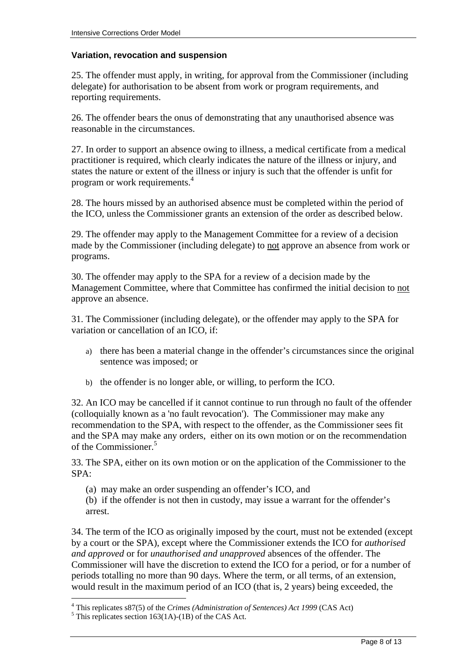## **Variation, revocation and suspension**

25. The offender must apply, in writing, for approval from the Commissioner (including delegate) for authorisation to be absent from work or program requirements, and reporting requirements.

26. The offender bears the onus of demonstrating that any unauthorised absence was reasonable in the circumstances.

27. In order to support an absence owing to illness, a medical certificate from a medical practitioner is required, which clearly indicates the nature of the illness or injury, and states the nature or extent of the illness or injury is such that the offender is unfit for program or work requirements.4

28. The hours missed by an authorised absence must be completed within the period of the ICO, unless the Commissioner grants an extension of the order as described below.

29. The offender may apply to the Management Committee for a review of a decision made by the Commissioner (including delegate) to not approve an absence from work or programs.

30. The offender may apply to the SPA for a review of a decision made by the Management Committee, where that Committee has confirmed the initial decision to not approve an absence.

31. The Commissioner (including delegate), or the offender may apply to the SPA for variation or cancellation of an ICO, if:

- a) there has been a material change in the offender's circumstances since the original sentence was imposed; or
- b) the offender is no longer able, or willing, to perform the ICO.

32. An ICO may be cancelled if it cannot continue to run through no fault of the offender (colloquially known as a 'no fault revocation'). The Commissioner may make any recommendation to the SPA, with respect to the offender, as the Commissioner sees fit and the SPA may make any orders, either on its own motion or on the recommendation of the Commissioner.<sup>5</sup>

33. The SPA, either on its own motion or on the application of the Commissioner to the SPA:

- (a) may make an order suspending an offender's ICO, and
- (b) if the offender is not then in custody, may issue a warrant for the offender's arrest.

34. The term of the ICO as originally imposed by the court, must not be extended (except by a court or the SPA), except where the Commissioner extends the ICO for *authorised and approved* or for *unauthorised and unapproved* absences of the offender. The Commissioner will have the discretion to extend the ICO for a period, or for a number of periods totalling no more than 90 days. Where the term, or all terms, of an extension, would result in the maximum period of an ICO (that is, 2 years) being exceeded, the

<sup>&</sup>lt;sup>4</sup> This replicates s87(5) of the *Crimes (Administration of Sentences) Act 1999* (CAS Act)  $\frac{5 \text{ This replicates section 163(1A)} (1B) of the CAS Act}$ 

 $5$  This replicates section 163(1A)-(1B) of the CAS Act.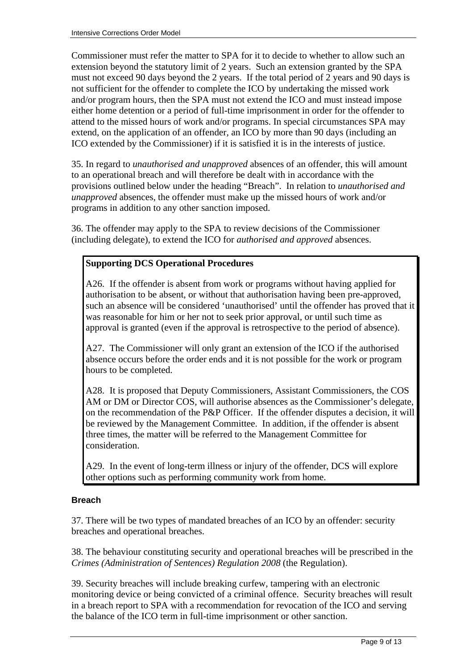Commissioner must refer the matter to SPA for it to decide to whether to allow such an extension beyond the statutory limit of 2 years. Such an extension granted by the SPA must not exceed 90 days beyond the 2 years. If the total period of 2 years and 90 days is not sufficient for the offender to complete the ICO by undertaking the missed work and/or program hours, then the SPA must not extend the ICO and must instead impose either home detention or a period of full-time imprisonment in order for the offender to attend to the missed hours of work and/or programs. In special circumstances SPA may extend, on the application of an offender, an ICO by more than 90 days (including an ICO extended by the Commissioner) if it is satisfied it is in the interests of justice.

35. In regard to *unauthorised and unapproved* absences of an offender, this will amount to an operational breach and will therefore be dealt with in accordance with the provisions outlined below under the heading "Breach". In relation to *unauthorised and unapproved* absences, the offender must make up the missed hours of work and/or programs in addition to any other sanction imposed.

36. The offender may apply to the SPA to review decisions of the Commissioner (including delegate), to extend the ICO for *authorised and approved* absences.

## **Supporting DCS Operational Procedures**

A26. If the offender is absent from work or programs without having applied for authorisation to be absent, or without that authorisation having been pre-approved, such an absence will be considered 'unauthorised' until the offender has proved that it was reasonable for him or her not to seek prior approval, or until such time as approval is granted (even if the approval is retrospective to the period of absence).

A27. The Commissioner will only grant an extension of the ICO if the authorised absence occurs before the order ends and it is not possible for the work or program hours to be completed.

A28. It is proposed that Deputy Commissioners, Assistant Commissioners, the COS AM or DM or Director COS, will authorise absences as the Commissioner's delegate, on the recommendation of the P&P Officer. If the offender disputes a decision, it will be reviewed by the Management Committee. In addition, if the offender is absent three times, the matter will be referred to the Management Committee for consideration.

A29. In the event of long-term illness or injury of the offender, DCS will explore other options such as performing community work from home.

#### **Breach**

37. There will be two types of mandated breaches of an ICO by an offender: security breaches and operational breaches.

38. The behaviour constituting security and operational breaches will be prescribed in the *Crimes (Administration of Sentences) Regulation 2008* (the Regulation).

39. Security breaches will include breaking curfew, tampering with an electronic monitoring device or being convicted of a criminal offence. Security breaches will result in a breach report to SPA with a recommendation for revocation of the ICO and serving the balance of the ICO term in full-time imprisonment or other sanction.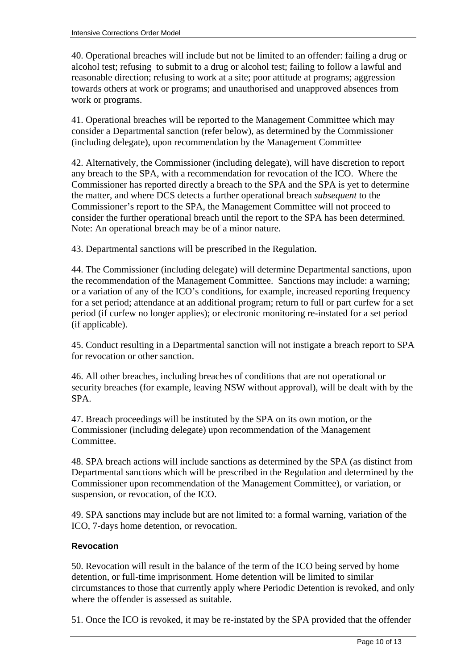40. Operational breaches will include but not be limited to an offender: failing a drug or alcohol test; refusing to submit to a drug or alcohol test; failing to follow a lawful and reasonable direction; refusing to work at a site; poor attitude at programs; aggression towards others at work or programs; and unauthorised and unapproved absences from work or programs.

41. Operational breaches will be reported to the Management Committee which may consider a Departmental sanction (refer below), as determined by the Commissioner (including delegate), upon recommendation by the Management Committee

42. Alternatively, the Commissioner (including delegate), will have discretion to report any breach to the SPA, with a recommendation for revocation of the ICO. Where the Commissioner has reported directly a breach to the SPA and the SPA is yet to determine the matter, and where DCS detects a further operational breach *subsequent* to the Commissioner's report to the SPA, the Management Committee will not proceed to consider the further operational breach until the report to the SPA has been determined. Note: An operational breach may be of a minor nature.

43. Departmental sanctions will be prescribed in the Regulation.

44. The Commissioner (including delegate) will determine Departmental sanctions, upon the recommendation of the Management Committee. Sanctions may include: a warning; or a variation of any of the ICO's conditions, for example, increased reporting frequency for a set period; attendance at an additional program; return to full or part curfew for a set period (if curfew no longer applies); or electronic monitoring re-instated for a set period (if applicable).

45. Conduct resulting in a Departmental sanction will not instigate a breach report to SPA for revocation or other sanction.

46. All other breaches, including breaches of conditions that are not operational or security breaches (for example, leaving NSW without approval), will be dealt with by the SPA.

47. Breach proceedings will be instituted by the SPA on its own motion, or the Commissioner (including delegate) upon recommendation of the Management **Committee.** 

48. SPA breach actions will include sanctions as determined by the SPA (as distinct from Departmental sanctions which will be prescribed in the Regulation and determined by the Commissioner upon recommendation of the Management Committee), or variation, or suspension, or revocation, of the ICO.

49. SPA sanctions may include but are not limited to: a formal warning, variation of the ICO, 7-days home detention, or revocation.

## **Revocation**

50. Revocation will result in the balance of the term of the ICO being served by home detention, or full-time imprisonment. Home detention will be limited to similar circumstances to those that currently apply where Periodic Detention is revoked, and only where the offender is assessed as suitable.

51. Once the ICO is revoked, it may be re-instated by the SPA provided that the offender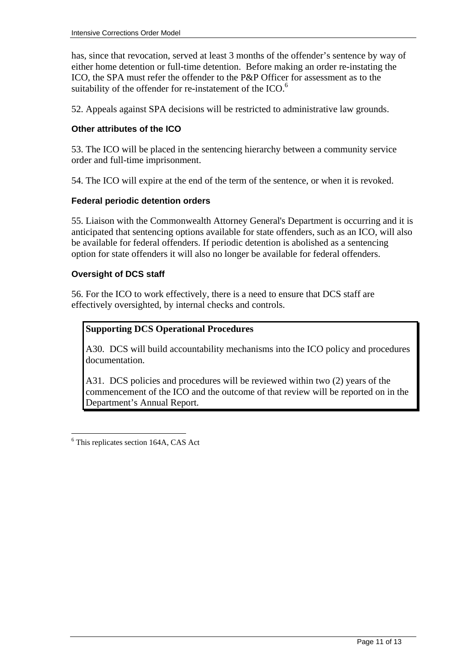has, since that revocation, served at least 3 months of the offender's sentence by way of either home detention or full-time detention. Before making an order re-instating the ICO, the SPA must refer the offender to the P&P Officer for assessment as to the suitability of the offender for re-instatement of the  $ICO<sup>6</sup>$ .

52. Appeals against SPA decisions will be restricted to administrative law grounds.

## **Other attributes of the ICO**

53. The ICO will be placed in the sentencing hierarchy between a community service order and full-time imprisonment.

54. The ICO will expire at the end of the term of the sentence, or when it is revoked.

#### **Federal periodic detention orders**

55. Liaison with the Commonwealth Attorney General's Department is occurring and it is anticipated that sentencing options available for state offenders, such as an ICO, will also be available for federal offenders. If periodic detention is abolished as a sentencing option for state offenders it will also no longer be available for federal offenders.

## **Oversight of DCS staff**

56. For the ICO to work effectively, there is a need to ensure that DCS staff are effectively oversighted, by internal checks and controls.

## **Supporting DCS Operational Procedures**

A30. DCS will build accountability mechanisms into the ICO policy and procedures documentation.

A31. DCS policies and procedures will be reviewed within two (2) years of the commencement of the ICO and the outcome of that review will be reported on in the Department's Annual Report.

6 This replicates section 164A, CAS Act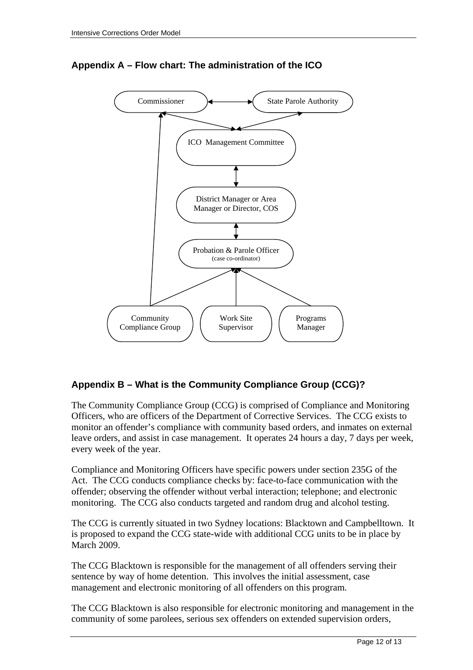

# **Appendix A – Flow chart: The administration of the ICO**

## **Appendix B – What is the Community Compliance Group (CCG)?**

The Community Compliance Group (CCG) is comprised of Compliance and Monitoring Officers, who are officers of the Department of Corrective Services. The CCG exists to monitor an offender's compliance with community based orders, and inmates on external leave orders, and assist in case management. It operates 24 hours a day, 7 days per week, every week of the year.

Compliance and Monitoring Officers have specific powers under section 235G of the Act. The CCG conducts compliance checks by: face-to-face communication with the offender; observing the offender without verbal interaction; telephone; and electronic monitoring. The CCG also conducts targeted and random drug and alcohol testing.

The CCG is currently situated in two Sydney locations: Blacktown and Campbelltown. It is proposed to expand the CCG state-wide with additional CCG units to be in place by March 2009.

The CCG Blacktown is responsible for the management of all offenders serving their sentence by way of home detention. This involves the initial assessment, case management and electronic monitoring of all offenders on this program.

The CCG Blacktown is also responsible for electronic monitoring and management in the community of some parolees, serious sex offenders on extended supervision orders,